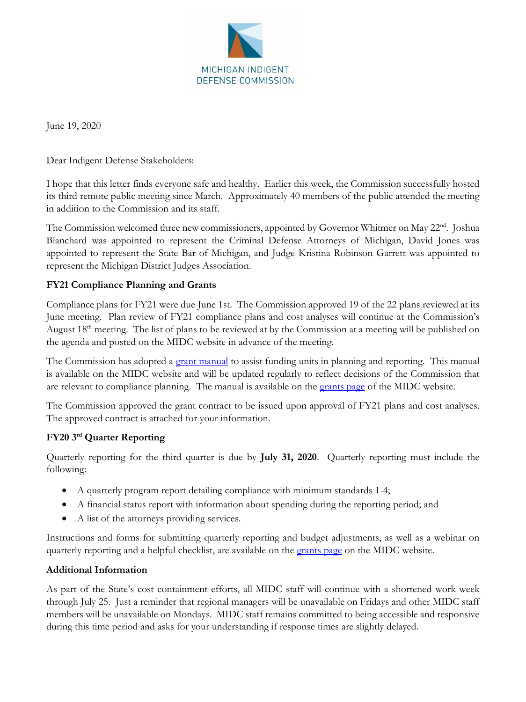

June 19, 2020

Dear Indigent Defense Stakeholders:

I hope that this letter finds everyone safe and healthy. Earlier this week, the Commission successfully hosted its third remote public meeting since March. Approximately 40 members of the public attended the meeting in addition to the Commission and its staff.

The Commission welcomed three new commissioners, appointed by Governor Whitmer on May 22<sup>nd</sup>. Joshua Blanchard was appointed to represent the Criminal Defense Attorneys of Michigan, David Jones was appointed to represent the State Bar of Michigan, and Judge Kristina Robinson Garrett was appointed to represent the Michigan District Judges Association.

## **FY21 Compliance Planning and Grants**

Compliance plans for FY21 were due June 1st. The Commission approved 19 of the 22 plans reviewed at its June meeting. Plan review of FY21 compliance plans and cost analyses will continue at the Commission's August  $18<sup>th</sup>$  meeting. The list of plans to be reviewed at by the Commission at a meeting will be published on the agenda and posted on the MIDC website in advance of the meeting.

The Commission has adopted a [grant manual](https://michiganidc.gov/wp-content/uploads/2020/06/Grant-Manual-Final-MIDC-Approved-June-2020.pdf) to assist funding units in planning and reporting. This manual is available on the MIDC website and will be updated regularly to reflect decisions of the Commission that are relevant to compliance planning. The manual is available on the [grants page](https://michiganidc.gov/grants/) of the MIDC website.

The Commission approved the grant contract to be issued upon approval of FY21 plans and cost analyses. The approved contract is attached for your information.

## **FY20 3rd Quarter Reporting**

Quarterly reporting for the third quarter is due by **July 31, 2020**. Quarterly reporting must include the following:

- A quarterly program report detailing compliance with minimum standards 1-4;
- A financial status report with information about spending during the reporting period; and
- A list of the attorneys providing services.

Instructions and forms for submitting quarterly reporting and budget adjustments, as well as a webinar on quarterly reporting and a helpful checklist, are available on the [grants page](https://michiganidc.gov/grants/) on the MIDC website.

## **Additional Information**

As part of the State's cost containment efforts, all MIDC staff will continue with a shortened work week through July 25. Just a reminder that regional managers will be unavailable on Fridays and other MIDC staff members will be unavailable on Mondays. MIDC staff remains committed to being accessible and responsive during this time period and asks for your understanding if response times are slightly delayed.